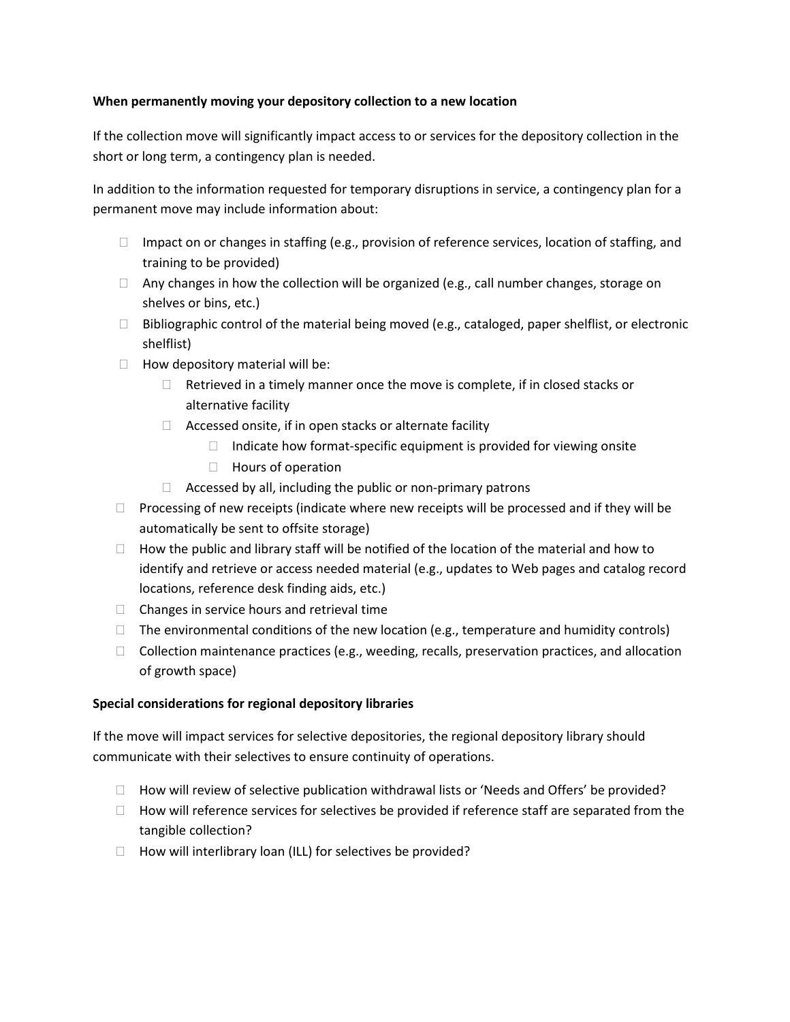## **When permanently moving your depository collection to a new location**

If the collection move will significantly impact access to or services for the depository collection in the short or long term, a contingency plan is needed.

In addition to the information requested for temporary disruptions in service, a contingency plan for a permanent move may include information about:

- $\Box$  Impact on or changes in staffing (e.g., provision of reference services, location of staffing, and training to be provided)
- $\Box$  Any changes in how the collection will be organized (e.g., call number changes, storage on shelves or bins, etc.)
- $\Box$  Bibliographic control of the material being moved (e.g., cataloged, paper shelflist, or electronic shelflist)
- $\Box$  How depository material will be:
	- $\Box$  Retrieved in a timely manner once the move is complete, if in closed stacks or alternative facility
	- $\Box$  Accessed onsite, if in open stacks or alternate facility
		- $\Box$  Indicate how format-specific equipment is provided for viewing onsite
		- □ Hours of operation
	- $\Box$  Accessed by all, including the public or non-primary patrons
- $\Box$  Processing of new receipts (indicate where new receipts will be processed and if they will be automatically be sent to offsite storage)
- $\Box$  How the public and library staff will be notified of the location of the material and how to identify and retrieve or access needed material (e.g., updates to Web pages and catalog record locations, reference desk finding aids, etc.)
- $\Box$  Changes in service hours and retrieval time
- $\Box$  The environmental conditions of the new location (e.g., temperature and humidity controls)
- $\Box$  Collection maintenance practices (e.g., weeding, recalls, preservation practices, and allocation of growth space)

## **Special considerations for regional depository libraries**

If the move will impact services for selective depositories, the regional depository library should communicate with their selectives to ensure continuity of operations.

- $\Box$  How will review of selective publication withdrawal lists or 'Needs and Offers' be provided?
- $\Box$  How will reference services for selectives be provided if reference staff are separated from the tangible collection?
- $\Box$  How will interlibrary loan (ILL) for selectives be provided?